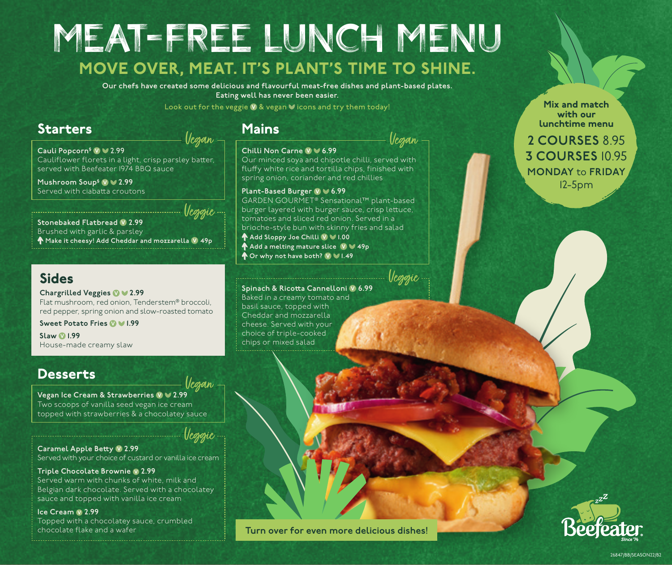## MEAT-FREE LUNCH MENU MOVE OVER, MEAT. IT'S PLANT'S TIME TO SHINE.

**Our chefs have created some delicious and flavourful meat-free dishes and plant-based plates. Eating well has never been easier.** 

Look out for the veggie  $\vee$  & vegan  $\vee$  icons and try them today!

## Starters Mains

Vegan

Cauli Popcorn<sup>§</sup> **V** ≥ 2.99 Cauliflower florets in a light, crisp parsley batter, served with Beefeater 1974 BBQ sauce

**Mushroom Soup§ 2.99** Served with ciabatta croutons

**Stonebaked Flatbread V 2.99** Brushed with garlic & parsley **Make it cheesy! Add Cheddar and mozzarella 49p** Veggie

## Sides

**Chargrilled Veggies 2.99** Flat mushroom, red onion, Tenderstem® broccoli, red pepper, spring onion and slow-roasted tomato

**Sweet Potato Fries 1.99**

**Slaw 1.99** House-made creamy slaw

## **Desserts**

**Vegan Ice Cream & Strawberries**  $\sqrt{2.99}$ Two scoops of vanilla seed vegan ice cream topped with strawberries & a chocolatey sauce Vegan

Veggie

**Caramel Apple Betty 2.99** Served with your choice of custard or vanilla ice cream

#### **Triple Chocolate Brownie**  $\vee$  **2.99** Served warm with chunks of white, milk and Belgian dark chocolate. Served with a chocolatey

sauce and topped with vanilla ice cream Ice Cream  $\vee$  2.99

Topped with a chocolatey sauce, crumbled chocolate flake and a wafer

#### **Chilli Non Carne 6.99**

Vegan

Our minced soya and chipotle chilli, served with fluffy white rice and tortilla chips, finished with spring onion, coriander and red chillies

### **Plant-Based Burger 10**  $\blacktriangledown$  **6.99**

GARDEN GOURMET® Sensational™ plant-based burger layered with burger sauce, crisp lettuce, tomatoes and sliced red onion. Served in a brioche-style bun with skinny fries and salad **Add Sloppy Joe Chilli 1.00 ↑ Add a melting mature slice (VIV 49p Or why not have both? 1.49**

Veggie

Mix and match with our lunchtime menu

**2 COURSES** 8.95 **3 COURSES** 10.95 **MONDAY** to **FRIDAY** 12-5pm



#### **Spinach & Ricotta Cannelloni 6.99**

Baked in a creamy tomato and basil sauce, topped with Cheddar and mozzarella cheese. Served with your choice of triple-cooked chips or mixed salad





26847/BB/SEASON22/B2